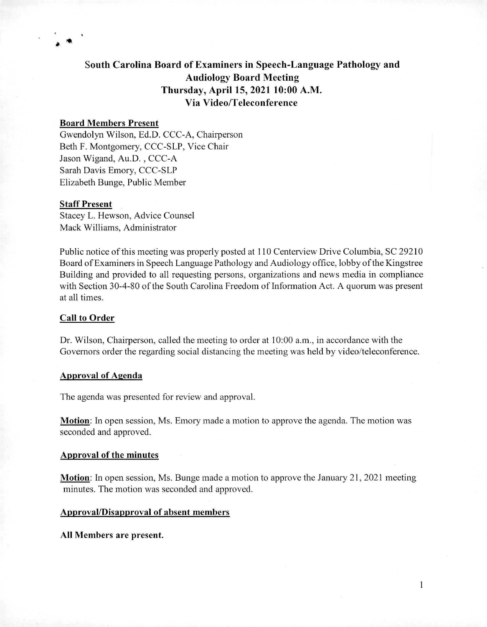# **South Carolina Board of Examiners in Speech-Language Pathology and Audiology Board Meeting Thursday, April 15, 2021 10:00 A.M. Via Video/Teleconference**

# **Board Members Present**

Gwendolyn Wilson, Ed.D. CCC-A, Chairperson Beth F. Montgomery, CCC-SLP, Vice Chair Jason Wigand, Au.D. , CCC-A Sarah Davis Emory, CCC-SLP Elizabeth Bunge, Public Member

#### **Staff Present**

Stacey L. Hewson, Advice Counsel Mack Williams, Administrator

Public notice of this meeting was properly posted at 110 Centerview Drive Columbia, SC 29210 Board of Examiners in Speech Language Pathology and Audiology office, lobby of the Kingstree Building and provided to all requesting persons, organizations and news media in compliance with Section 30-4-80 of the South Carolina Freedom of Information Act. A quorum was present at all times.

#### **Call to Order**

Dr. Wilson, Chairperson, called the meeting to order at 10:00 a.m., in accordance with the Governors order the regarding social distancing the meeting was held by video/teleconference.

### **Approval of Agenda**

The agenda was presented for review and approval.

**Motion:** In open session, Ms. Emory made a motion to approve the agenda. The motion was seconded and approved.

## **Approval of the minutes**

**Motion:** In open session, Ms. Bunge made a motion to approve the January 21, 2021 meeting minutes. The motion was seconded and approved.

**1** 

### **Approval/Disapproval of absent members**

**All Members are present.**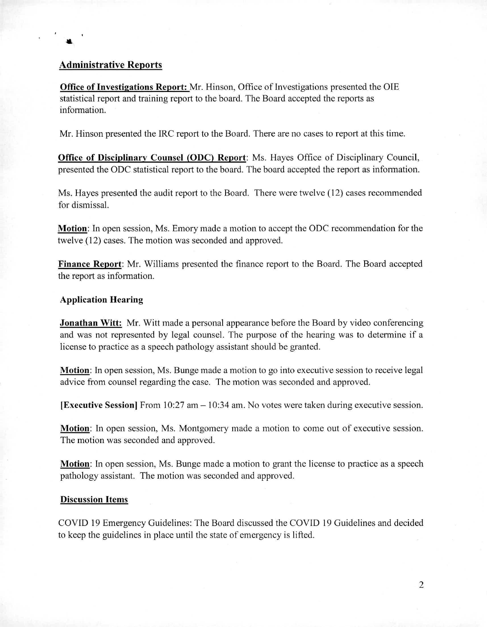# **Administrative Reports**

**Office of Investigations Report:** Mr. Hinson, Office of Investigations presented the OIE statistical report and training report to the board. The Board accepted the reports as information.

Mr. Hinson presented the IRC report to the Board. There are no cases to report at this time.

**Office of Disciplinary Counsel (ODC) Report:** Ms. Hayes Office of Disciplinary Council, presented the ODC statistical report to the board. The board accepted the report as information.

Ms. Hayes presented the audit report to the Board. There were twelve (12) cases recommended for dismissal.

**Motion:** In open session, Ms. Emory made a motion to accept the ODC recommendation for the twelve (12) cases. The motion was seconded and approved.

**Finance Report:** Mr. Williams presented the finance report to the Board. The Board accepted the report as information.

## **Application Hearing**

**Jonathan Witt:** Mr. Witt made a personal appearance before the Board by video conferencing and was not represented by legal counsel. The purpose of the hearing was to determine if a license to practice as a speech pathology assistant should be granted.

**Motion:** In open session, Ms. Bunge made a motion to go into executive session to receive legal advice from counsel regarding the case. The motion was seconded and approved.

**[Executive Session]** From 10:27 am — 10:34 am. No votes were taken during executive session.

**Motion:** In open session, Ms. Montgomery made a motion to come out of executive session. The motion was seconded and approved.

**Motion:** In open session, Ms. Bunge made a motion to grant the license to practice as a speech pathology assistant. The motion was seconded and approved.

#### **Discussion Items**

COVID 19 Emergency Guidelines: The Board discussed the COVID 19 Guidelines and decided to keep the guidelines in place until the state of emergency is lifted.

2